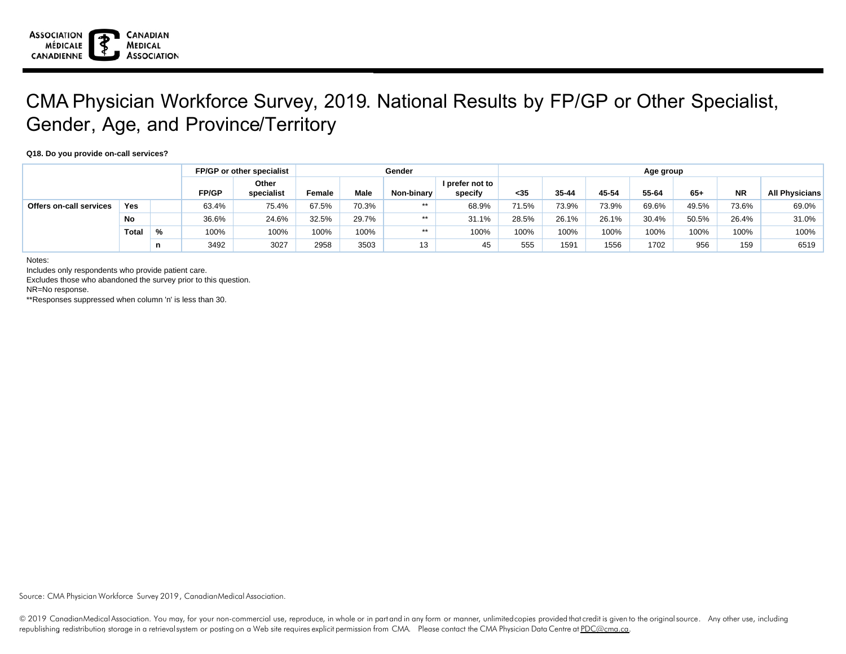

## CMA Physician Workforce Survey, 2019. National Results by FP/GP or Other Specialist, Gender, Age, and Province/Territory

## **Q18. Do you provide on-call services?**

|                                |              |   |       | FP/GP or other specialist | Gender |             |            |                            | Age group |       |       |       |       |           |                       |  |
|--------------------------------|--------------|---|-------|---------------------------|--------|-------------|------------|----------------------------|-----------|-------|-------|-------|-------|-----------|-----------------------|--|
|                                |              |   | FP/GP | Other<br>specialist       | Female | <b>Male</b> | Non-binary | I prefer not to<br>specify | $35$      | 35-44 | 45-54 | 55-64 | $65+$ | <b>NR</b> | <b>All Physicians</b> |  |
| <b>Offers on-call services</b> | Yes          |   | 63.4% | 75.4%                     | 67.5%  | 70.3%       | $***$      | 68.9%                      | 71.5%     | 73.9% | 73.9% | 69.6% | 49.5% | 73.6%     | 69.0%                 |  |
|                                | <b>No</b>    |   | 36.6% | 24.6%                     | 32.5%  | 29.7%       | $***$      | 31.1%                      | 28.5%     | 26.1% | 26.1% | 30.4% | 50.5% | 26.4%     | 31.0%                 |  |
|                                | <b>Total</b> | % | 100%  | 100%                      | 100%   | 100%        | $***$      | 100%                       | 100%      | 100%  | 100%  | 100%  | 100%  | 100%      | 100%                  |  |
|                                |              | n | 3492  | 3027                      | 2958   | 3503        | 13         | 45                         | 555       | 1591  | 1556  | 1702  | 956   | 159       | 6519                  |  |

Notes:

Includes only respondents who provide patient care.

Excludes those who abandoned the survey prior to this question.

NR=No response.

\*\*Responses suppressed when column 'n' is less than 30.

Source: CMA Physician Workforce Survey 2019, CanadianMedical Association.

© 2019 CanadianMedical Association. You may, for your non-commercial use, reproduce, in whole or in part and in any form or manner, unlimited copies provided that credit is given to the original source. Any other use, incl republishing redistribution storage in a retrievalsystem or posting on a Web site requires explicit permission from CMA. Please contact the CMA Physician Data Centre at PDC@cma.ca.